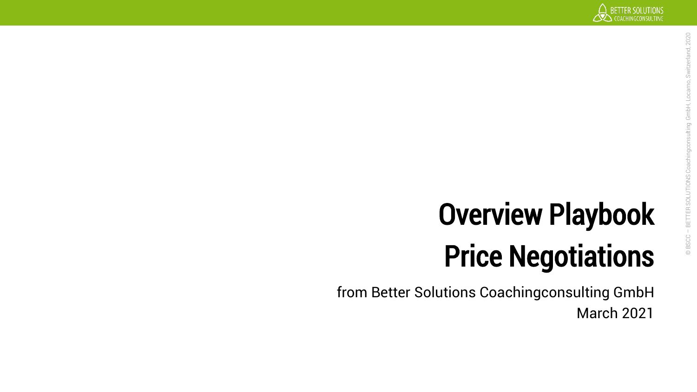# Overview Playbook Price Negotiations

from Better Solutions Coachingconsulting GmbH March 2021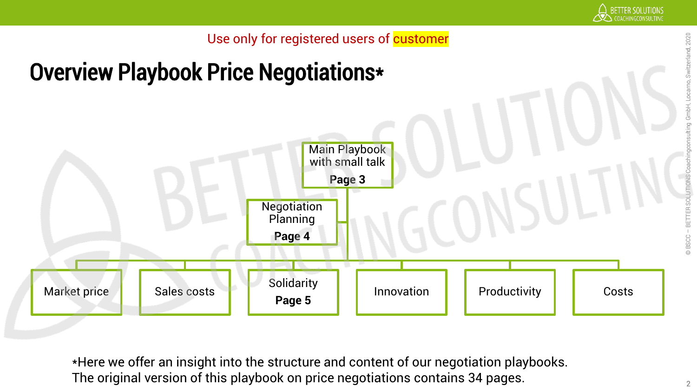

### Overview Playbook Price Negotiations\*



\*Here we offer an insight into the structure and content of our negotiation playbooks. The original version of this playbook on price negotiations contains 34 pages.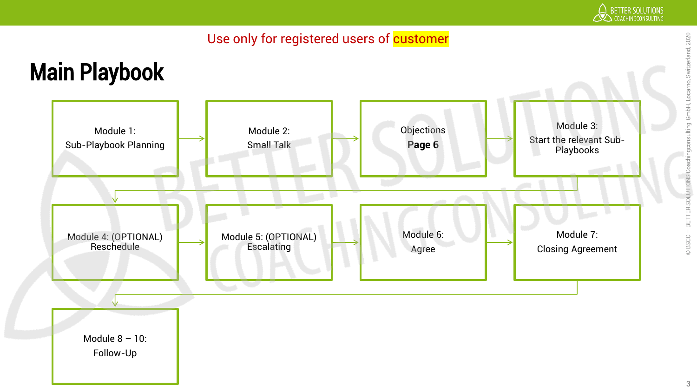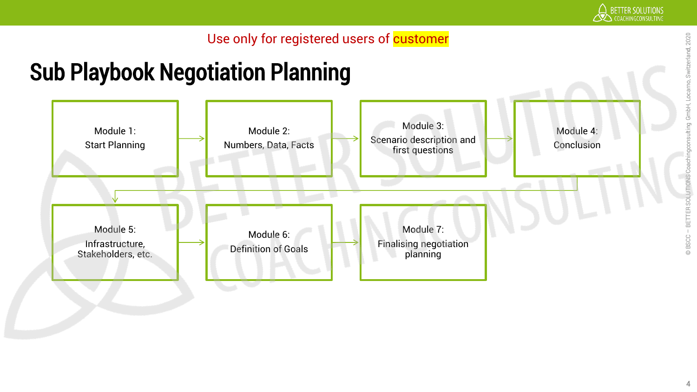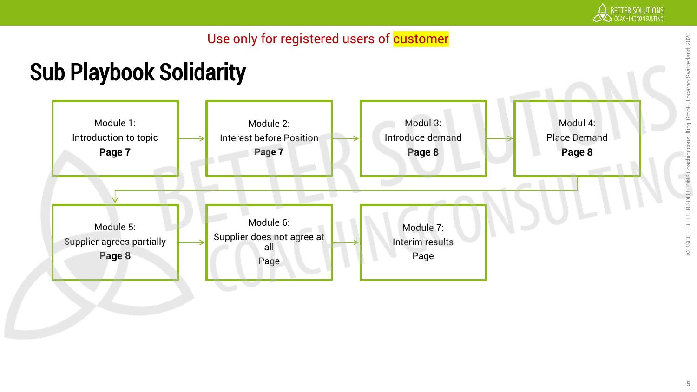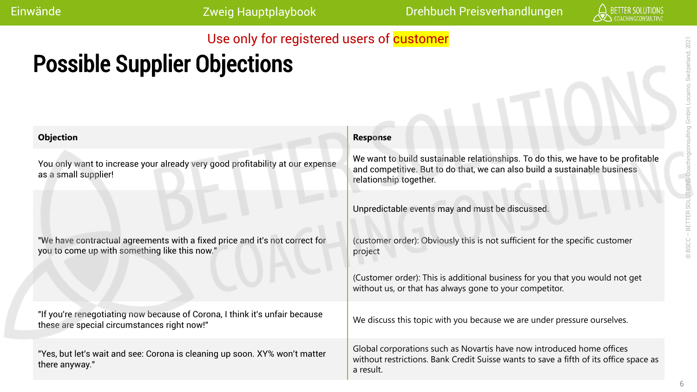Einwände Zweig Hauptplaybook Drehbuch Preisverhandlungen

#### Use only for registered users of customer

### Possible Supplier Objections

| <b>Objection</b>                                                                                                             | <b>Response</b>                                                                                                                                                                         |
|------------------------------------------------------------------------------------------------------------------------------|-----------------------------------------------------------------------------------------------------------------------------------------------------------------------------------------|
| You only want to increase your already very good profitability at our expense<br>as a small supplier!                        | We want to build sustainable relationships. To do this, we have to be profitable<br>and competitive. But to do that, we can also build a sustainable business<br>relationship together. |
|                                                                                                                              | Unpredictable events may and must be discussed.                                                                                                                                         |
| "We have contractual agreements with a fixed price and it's not correct for<br>you to come up with something like this now." | (customer order): Obviously this is not sufficient for the specific customer<br>project                                                                                                 |
|                                                                                                                              | (Customer order): This is additional business for you that you would not get<br>without us, or that has always gone to your competitor.                                                 |
| "If you're renegotiating now because of Corona, I think it's unfair because<br>these are special circumstances right now!"   | We discuss this topic with you because we are under pressure ourselves.                                                                                                                 |
| "Yes, but let's wait and see: Corona is cleaning up soon. XY% won't matter<br>there anyway."                                 | Global corporations such as Novartis have now introduced home offices<br>without restrictions. Bank Credit Suisse wants to save a fifth of its office space as<br>a result.             |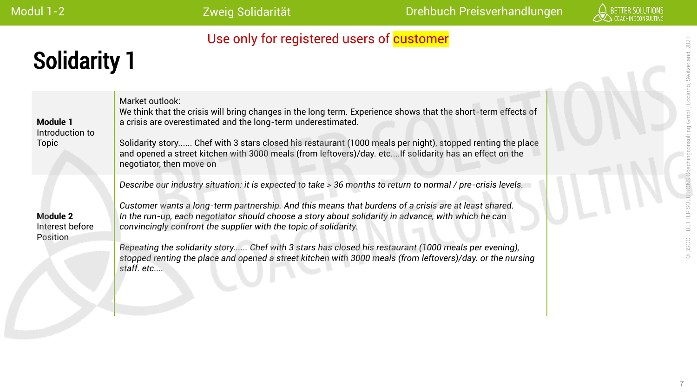## Solidarity 1

| Module 1<br>Introduction to<br><b>Topic</b>    | Market outlook:<br>We think that the crisis will bring changes in the long term. Experience shows that the short-term effects of<br>a crisis are overestimated and the long-term underestimated.<br>Solidarity story Chef with 3 stars closed his restaurant (1000 meals per night), stopped renting the place<br>and opened a street kitchen with 3000 meals (from leftovers)/day. etcIf solidarity has an effect on the<br>negotiator, then move on                                                                                                                                                                               |  |
|------------------------------------------------|-------------------------------------------------------------------------------------------------------------------------------------------------------------------------------------------------------------------------------------------------------------------------------------------------------------------------------------------------------------------------------------------------------------------------------------------------------------------------------------------------------------------------------------------------------------------------------------------------------------------------------------|--|
| <b>Module 2</b><br>Interest before<br>Position | Describe our industry situation: it is expected to take > 36 months to return to normal / pre-crisis levels.<br>Customer wants a long-term partnership. And this means that burdens of a crisis are at least shared.<br>In the run-up, each negotiator should choose a story about solidarity in advance, with which he can<br>convincingly confront the supplier with the topic of solidarity.<br>Repeating the solidarity story Chef with 3 stars has closed his restaurant (1000 meals per evening),<br>stopped renting the place and opened a street kitchen with 3000 meals (from leftovers)/day. or the nursing<br>staff. etc |  |